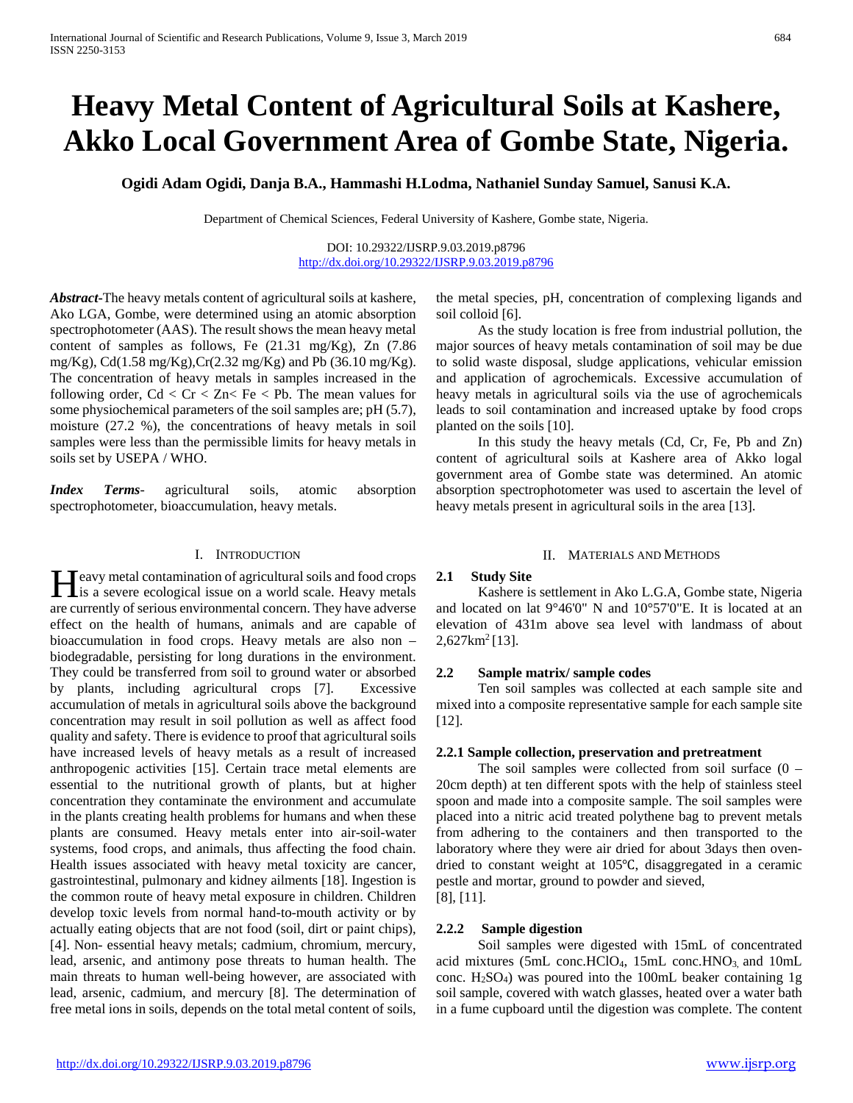# **Heavy Metal Content of Agricultural Soils at Kashere, Akko Local Government Area of Gombe State, Nigeria.**

**Ogidi Adam Ogidi, Danja B.A., Hammashi H.Lodma, Nathaniel Sunday Samuel, Sanusi K.A.**

Department of Chemical Sciences, Federal University of Kashere, Gombe state, Nigeria.

DOI: 10.29322/IJSRP.9.03.2019.p8796 <http://dx.doi.org/10.29322/IJSRP.9.03.2019.p8796>

*Abstract***-**The heavy metals content of agricultural soils at kashere, Ako LGA, Gombe, were determined using an atomic absorption spectrophotometer (AAS). The result shows the mean heavy metal content of samples as follows, Fe (21.31 mg/Kg), Zn (7.86 mg/Kg), Cd(1.58 mg/Kg),Cr(2.32 mg/Kg) and Pb (36.10 mg/Kg). The concentration of heavy metals in samples increased in the following order,  $Cd < Cr < Zn < Fe < Pb$ . The mean values for some physiochemical parameters of the soil samples are; pH (5.7), moisture (27.2 %), the concentrations of heavy metals in soil samples were less than the permissible limits for heavy metals in soils set by USEPA / WHO.

*Index Terms*- agricultural soils, atomic absorption spectrophotometer, bioaccumulation, heavy metals.

# I. INTRODUCTION

 $\mathbf{T}$  eavy metal contamination of agricultural soils and food crops **is a severe ecological issue on a world scale. Heavy metals and food crops** are currently of serious environmental concern. They have adverse effect on the health of humans, animals and are capable of bioaccumulation in food crops. Heavy metals are also non – biodegradable, persisting for long durations in the environment. They could be transferred from soil to ground water or absorbed by plants, including agricultural crops [7]. Excessive accumulation of metals in agricultural soils above the background concentration may result in soil pollution as well as affect food quality and safety. There is evidence to proof that agricultural soils have increased levels of heavy metals as a result of increased anthropogenic activities [15]. Certain trace metal elements are essential to the nutritional growth of plants, but at higher concentration they contaminate the environment and accumulate in the plants creating health problems for humans and when these plants are consumed. Heavy metals enter into air-soil-water systems, food crops, and animals, thus affecting the food chain. Health issues associated with heavy metal toxicity are cancer, gastrointestinal, pulmonary and kidney ailments [18]. Ingestion is the common route of heavy metal exposure in children. Children develop toxic levels from normal hand-to-mouth activity or by actually eating objects that are not food (soil, dirt or paint chips), [4]. Non- essential heavy metals; cadmium, chromium, mercury, lead, arsenic, and antimony pose threats to human health. The main threats to human well-being however, are associated with lead, arsenic, cadmium, and mercury [8]. The determination of free metal ions in soils, depends on the total metal content of soils,

the metal species, pH, concentration of complexing ligands and soil colloid [6].

 As the study location is free from industrial pollution, the major sources of heavy metals contamination of soil may be due to solid waste disposal, sludge applications, vehicular emission and application of agrochemicals. Excessive accumulation of heavy metals in agricultural soils via the use of agrochemicals leads to soil contamination and increased uptake by food crops planted on the soils [10].

 In this study the heavy metals (Cd, Cr, Fe, Pb and Zn) content of agricultural soils at Kashere area of Akko logal government area of Gombe state was determined. An atomic absorption spectrophotometer was used to ascertain the level of heavy metals present in agricultural soils in the area [13].

#### II. MATERIALS AND METHODS

# **2.1 Study Site**

 Kashere is settlement in Ako L.G.A, Gombe state, Nigeria and located on lat 9°46'0" N and 10°57'0"E. It is located at an elevation of 431m above sea level with landmass of about  $2,627$  km<sup>2</sup> [13].

# **2.2 Sample matrix/ sample codes**

 Ten soil samples was collected at each sample site and mixed into a composite representative sample for each sample site [12].

# **2.2.1 Sample collection, preservation and pretreatment**

The soil samples were collected from soil surface  $(0 -$ 20cm depth) at ten different spots with the help of stainless steel spoon and made into a composite sample. The soil samples were placed into a nitric acid treated polythene bag to prevent metals from adhering to the containers and then transported to the laboratory where they were air dried for about 3days then ovendried to constant weight at 105℃, disaggregated in a ceramic pestle and mortar, ground to powder and sieved, [8], [11].

# **2.2.2 Sample digestion**

 Soil samples were digested with 15mL of concentrated acid mixtures (5mL conc.HClO<sub>4</sub>, 15mL conc.HNO<sub>3</sub> and 10mL conc.  $H_2SO_4$ ) was poured into the 100mL beaker containing 1g soil sample, covered with watch glasses, heated over a water bath in a fume cupboard until the digestion was complete. The content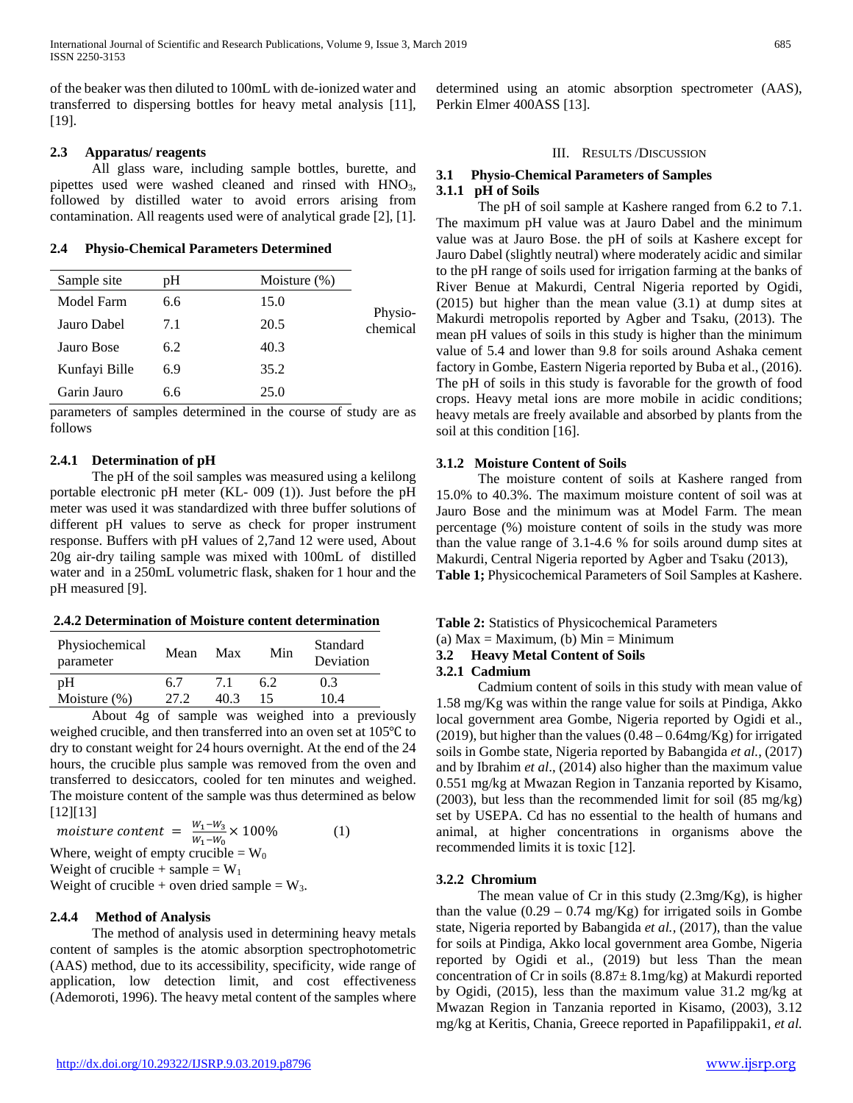of the beaker was then diluted to 100mL with de-ionized water and transferred to dispersing bottles for heavy metal analysis [11]*,* [19].

#### **2.3 Apparatus/ reagents**

 All glass ware, including sample bottles, burette, and pipettes used were washed cleaned and rinsed with HNO<sub>3</sub>, followed by distilled water to avoid errors arising from contamination. All reagents used were of analytical grade [2], [1].

#### **2.4 Physio-Chemical Parameters Determined**

| Sample site   | рH  | Moisture $(\%)$ |                     |
|---------------|-----|-----------------|---------------------|
| Model Farm    | 6.6 | 15.0            |                     |
| Jauro Dabel   | 7.1 | 20.5            | Physio-<br>chemical |
| Jauro Bose    | 6.2 | 40.3            |                     |
| Kunfayi Bille | 6.9 | 35.2            |                     |
| Garin Jauro   | 6.6 | 25.0            |                     |

parameters of samples determined in the course of study are as follows

# **2.4.1 Determination of pH**

 The pH of the soil samples was measured using a kelilong portable electronic pH meter (KL- 009 (1)). Just before the pH meter was used it was standardized with three buffer solutions of different pH values to serve as check for proper instrument response. Buffers with pH values of 2,7and 12 were used, About 20g air-dry tailing sample was mixed with 100mL of distilled water and in a 250mL volumetric flask, shaken for 1 hour and the pH measured [9].

# **2.4.2 Determination of Moisture content determination**

| Physiochemical<br>parameter | Mean | Max  | Min | Standard<br>Deviation |
|-----------------------------|------|------|-----|-----------------------|
| pΗ                          | 67   |      | 62  | 0.3                   |
| Moisture $(\%)$             | 27.2 | 40.3 | 15  | 10.4                  |
| .                           | __   |      | .   | - -                   |

 About 4g of sample was weighed into a previously weighed crucible, and then transferred into an oven set at 105℃ to dry to constant weight for 24 hours overnight. At the end of the 24 hours, the crucible plus sample was removed from the oven and transferred to desiccators, cooled for ten minutes and weighed. The moisture content of the sample was thus determined as below [12][13]

moisture content =  $\frac{W_1 - W_3}{W_1 - W_0} \times 100\%$  (1) Where, weight of empty crucible =  $W_0$ 

Weight of crucible + sample =  $W_1$ 

Weight of crucible + oven dried sample =  $W_3$ .

# **2.4.4 Method of Analysis**

 The method of analysis used in determining heavy metals content of samples is the atomic absorption spectrophotometric (AAS) method, due to its accessibility, specificity, wide range of application, low detection limit, and cost effectiveness (Ademoroti, 1996). The heavy metal content of the samples where

#### III. RESULTS /DISCUSSION

determined using an atomic absorption spectrometer (AAS),

# **3.1 Physio-Chemical Parameters of Samples 3.1.1 pH of Soils**

Perkin Elmer 400ASS [13].

 The pH of soil sample at Kashere ranged from 6.2 to 7.1. The maximum pH value was at Jauro Dabel and the minimum value was at Jauro Bose. the pH of soils at Kashere except for Jauro Dabel (slightly neutral) where moderately acidic and similar to the pH range of soils used for irrigation farming at the banks of River Benue at Makurdi, Central Nigeria reported by Ogidi, (2015) but higher than the mean value (3.1) at dump sites at Makurdi metropolis reported by Agber and Tsaku, (2013). The mean pH values of soils in this study is higher than the minimum value of 5.4 and lower than 9.8 for soils around Ashaka cement factory in Gombe, Eastern Nigeria reported by Buba et al., (2016). The pH of soils in this study is favorable for the growth of food crops. Heavy metal ions are more mobile in acidic conditions; heavy metals are freely available and absorbed by plants from the soil at this condition [16].

# **3.1.2 Moisture Content of Soils**

 The moisture content of soils at Kashere ranged from 15.0% to 40.3%. The maximum moisture content of soil was at Jauro Bose and the minimum was at Model Farm. The mean percentage (%) moisture content of soils in the study was more than the value range of 3.1-4.6 % for soils around dump sites at Makurdi, Central Nigeria reported by Agber and Tsaku (2013), **Table 1;** Physicochemical Parameters of Soil Samples at Kashere.

**Table 2:** Statistics of Physicochemical Parameters

# (a)  $Max = Maximum$ , (b)  $Min = Minimum$

# **3.2 Heavy Metal Content of Soils**

#### **3.2.1 Cadmium**

 Cadmium content of soils in this study with mean value of 1.58 mg/Kg was within the range value for soils at Pindiga, Akko local government area Gombe, Nigeria reported by Ogidi et al., (2019), but higher than the values  $(0.48 - 0.64 \text{mg/Kg})$  for irrigated soils in Gombe state, Nigeria reported by Babangida *et al.*, (2017) and by Ibrahim *et al*., (2014) also higher than the maximum value 0.551 mg/kg at Mwazan Region in Tanzania reported by Kisamo, (2003), but less than the recommended limit for soil (85 mg/kg) set by USEPA. Cd has no essential to the health of humans and animal, at higher concentrations in organisms above the recommended limits it is toxic [12].

# **3.2.2 Chromium**

 The mean value of Cr in this study (2.3mg/Kg), is higher than the value  $(0.29 - 0.74 \text{ mg/Kg})$  for irrigated soils in Gombe state, Nigeria reported by Babangida *et al.,* (2017), than the value for soils at Pindiga, Akko local government area Gombe, Nigeria reported by Ogidi et al., (2019) but less Than the mean concentration of Cr in soils  $(8.87 \pm 8.1 \text{mg/kg})$  at Makurdi reported by Ogidi, (2015), less than the maximum value 31.2 mg/kg at Mwazan Region in Tanzania reported in Kisamo, (2003), 3.12 mg/kg at Keritis, Chania, Greece reported in Papafilippaki1, *et al.*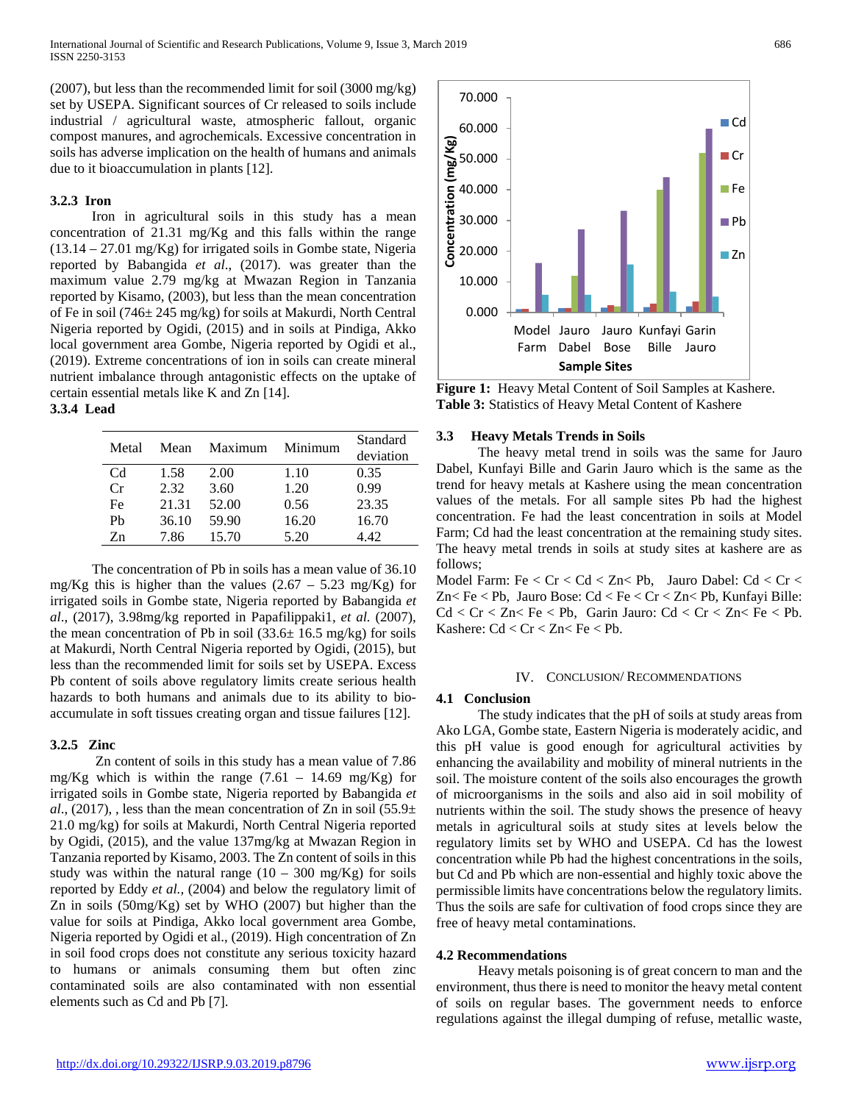(2007), but less than the recommended limit for soil (3000 mg/kg) set by USEPA. Significant sources of Cr released to soils include industrial / agricultural waste, atmospheric fallout, organic compost manures, and agrochemicals. Excessive concentration in soils has adverse implication on the health of humans and animals due to it bioaccumulation in plants [12].

#### **3.2.3 Iron**

 Iron in agricultural soils in this study has a mean concentration of 21.31 mg/Kg and this falls within the range  $(13.14 - 27.01 \text{ mg/Kg})$  for irrigated soils in Gombe state, Nigeria reported by Babangida *et al*., (2017). was greater than the maximum value 2.79 mg/kg at Mwazan Region in Tanzania reported by Kisamo, (2003), but less than the mean concentration of Fe in soil (746± 245 mg/kg) for soils at Makurdi, North Central Nigeria reported by Ogidi, (2015) and in soils at Pindiga, Akko local government area Gombe, Nigeria reported by Ogidi et al., (2019). Extreme concentrations of ion in soils can create mineral nutrient imbalance through antagonistic effects on the uptake of certain essential metals like K and Zn [14]. **3.3.4 Lead**

| Metal   | Mean  | Maximum | Minimum | Standard  |
|---------|-------|---------|---------|-----------|
|         |       |         |         | deviation |
| Cd      | 1.58  | 2.00    | 1.10    | 0.35      |
| Cr      | 2.32  | 3.60    | 1.20    | 0.99      |
| Fe      | 21.31 | 52.00   | 0.56    | 23.35     |
| Pb      | 36.10 | 59.90   | 16.20   | 16.70     |
| $Z_{n}$ | 7 86  | 15.70   | 5.20    | 4 42.     |

 The concentration of Pb in soils has a mean value of 36.10 mg/Kg this is higher than the values  $(2.67 - 5.23 \text{ mg/Kg})$  for irrigated soils in Gombe state, Nigeria reported by Babangida *et al*., (2017), 3.98mg/kg reported in Papafilippaki1, *et al.* (2007), the mean concentration of Pb in soil  $(33.6 \pm 16.5 \text{ mg/kg})$  for soils at Makurdi, North Central Nigeria reported by Ogidi, (2015), but less than the recommended limit for soils set by USEPA. Excess Pb content of soils above regulatory limits create serious health hazards to both humans and animals due to its ability to bioaccumulate in soft tissues creating organ and tissue failures [12].

# **3.2.5 Zinc**

 Zn content of soils in this study has a mean value of 7.86 mg/Kg which is within the range  $(7.61 - 14.69 \text{ mg/Kg})$  for irrigated soils in Gombe state, Nigeria reported by Babangida *et al.*, (2017), , less than the mean concentration of Zn in soil (55.9 $\pm$ 21.0 mg/kg) for soils at Makurdi, North Central Nigeria reported by Ogidi, (2015), and the value 137mg/kg at Mwazan Region in Tanzania reported by Kisamo, 2003. The Zn content of soils in this study was within the natural range  $(10 - 300 \text{ mg/Kg})$  for soils reported by Eddy *et al.,* (2004) and below the regulatory limit of Zn in soils (50mg/Kg) set by WHO (2007) but higher than the value for soils at Pindiga, Akko local government area Gombe, Nigeria reported by Ogidi et al., (2019). High concentration of Zn in soil food crops does not constitute any serious toxicity hazard to humans or animals consuming them but often zinc contaminated soils are also contaminated with non essential elements such as Cd and Pb [7].



**Figure 1:** Heavy Metal Content of Soil Samples at Kashere. **Table 3:** Statistics of Heavy Metal Content of Kashere

#### **3.3 Heavy Metals Trends in Soils**

 The heavy metal trend in soils was the same for Jauro Dabel, Kunfayi Bille and Garin Jauro which is the same as the trend for heavy metals at Kashere using the mean concentration values of the metals. For all sample sites Pb had the highest concentration. Fe had the least concentration in soils at Model Farm; Cd had the least concentration at the remaining study sites. The heavy metal trends in soils at study sites at kashere are as follows;

Model Farm: Fe < Cr < Cd < Zn< Pb, Jauro Dabel: Cd < Cr < Zn< Fe < Pb, Jauro Bose: Cd < Fe < Cr < Zn< Pb, Kunfayi Bille:  $Cd < Cr < Zn < Fe < Pb$ , Garin Jauro:  $Cd < Cr < Zn < Fe < Pb$ . Kashere:  $Cd < Cr < Zn < Fe < Pb$ .

#### IV. CONCLUSION/ RECOMMENDATIONS

#### **4.1 Conclusion**

 The study indicates that the pH of soils at study areas from Ako LGA, Gombe state, Eastern Nigeria is moderately acidic, and this pH value is good enough for agricultural activities by enhancing the availability and mobility of mineral nutrients in the soil. The moisture content of the soils also encourages the growth of microorganisms in the soils and also aid in soil mobility of nutrients within the soil. The study shows the presence of heavy metals in agricultural soils at study sites at levels below the regulatory limits set by WHO and USEPA. Cd has the lowest concentration while Pb had the highest concentrations in the soils, but Cd and Pb which are non-essential and highly toxic above the permissible limits have concentrations below the regulatory limits. Thus the soils are safe for cultivation of food crops since they are free of heavy metal contaminations.

#### **4.2 Recommendations**

 Heavy metals poisoning is of great concern to man and the environment, thus there is need to monitor the heavy metal content of soils on regular bases. The government needs to enforce regulations against the illegal dumping of refuse, metallic waste,